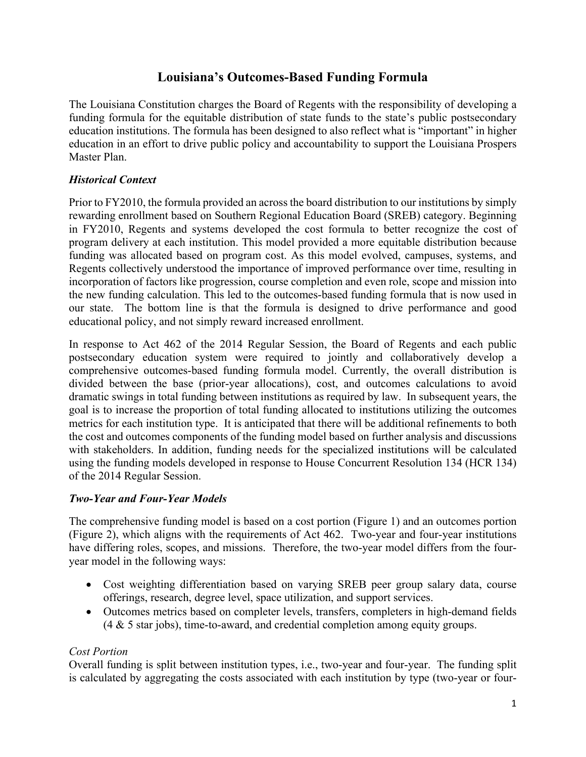# **Louisiana's Outcomes-Based Funding Formula**

The Louisiana Constitution charges the Board of Regents with the responsibility of developing a funding formula for the equitable distribution of state funds to the state's public postsecondary education institutions. The formula has been designed to also reflect what is "important" in higher education in an effort to drive public policy and accountability to support the Louisiana Prospers Master Plan.

# *Historical Context*

Prior to FY2010, the formula provided an across the board distribution to our institutions by simply rewarding enrollment based on Southern Regional Education Board (SREB) category. Beginning in FY2010, Regents and systems developed the cost formula to better recognize the cost of program delivery at each institution. This model provided a more equitable distribution because funding was allocated based on program cost. As this model evolved, campuses, systems, and Regents collectively understood the importance of improved performance over time, resulting in incorporation of factors like progression, course completion and even role, scope and mission into the new funding calculation. This led to the outcomes-based funding formula that is now used in our state. The bottom line is that the formula is designed to drive performance and good educational policy, and not simply reward increased enrollment.

In response to Act 462 of the 2014 Regular Session, the Board of Regents and each public postsecondary education system were required to jointly and collaboratively develop a comprehensive outcomes-based funding formula model. Currently, the overall distribution is divided between the base (prior-year allocations), cost, and outcomes calculations to avoid dramatic swings in total funding between institutions as required by law. In subsequent years, the goal is to increase the proportion of total funding allocated to institutions utilizing the outcomes metrics for each institution type. It is anticipated that there will be additional refinements to both the cost and outcomes components of the funding model based on further analysis and discussions with stakeholders. In addition, funding needs for the specialized institutions will be calculated using the funding models developed in response to House Concurrent Resolution 134 (HCR 134) of the 2014 Regular Session.

## *Two-Year and Four-Year Models*

The comprehensive funding model is based on a cost portion (Figure 1) and an outcomes portion (Figure 2), which aligns with the requirements of Act 462. Two-year and four-year institutions have differing roles, scopes, and missions. Therefore, the two-year model differs from the fouryear model in the following ways:

- Cost weighting differentiation based on varying SREB peer group salary data, course offerings, research, degree level, space utilization, and support services.
- Outcomes metrics based on completer levels, transfers, completers in high-demand fields (4 & 5 star jobs), time-to-award, and credential completion among equity groups.

## *Cost Portion*

Overall funding is split between institution types, i.e., two-year and four-year. The funding split is calculated by aggregating the costs associated with each institution by type (two-year or four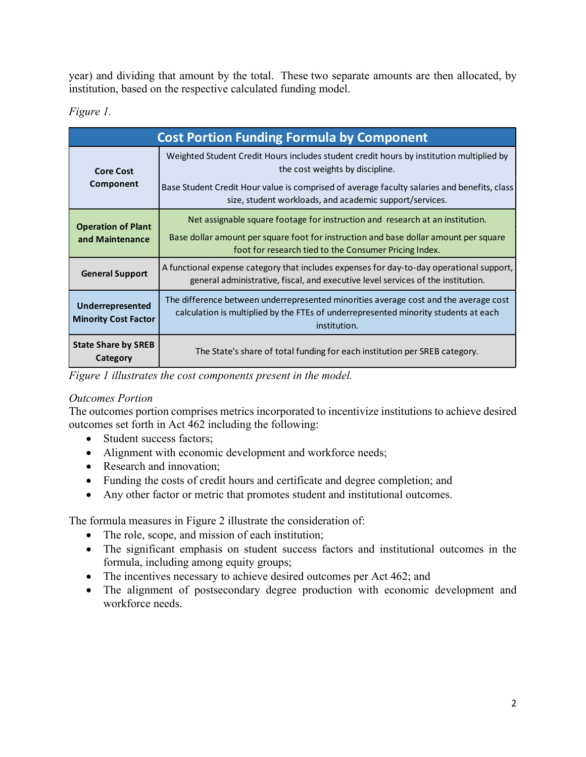year) and dividing that amount by the total. These two separate amounts are then allocated, by institution, based on the respective calculated funding model.

# *Figure 1.*

| <b>Cost Portion Funding Formula by Component</b> |                                                                                                                                                                                                                                |  |
|--------------------------------------------------|--------------------------------------------------------------------------------------------------------------------------------------------------------------------------------------------------------------------------------|--|
| <b>Core Cost</b><br>Component                    | Weighted Student Credit Hours includes student credit hours by institution multiplied by<br>the cost weights by discipline.                                                                                                    |  |
|                                                  | Base Student Credit Hour value is comprised of average faculty salaries and benefits, class<br>size, student workloads, and academic support/services.                                                                         |  |
| <b>Operation of Plant</b><br>and Maintenance     | Net assignable square footage for instruction and research at an institution.<br>Base dollar amount per square foot for instruction and base dollar amount per square<br>foot for research tied to the Consumer Pricing Index. |  |
| <b>General Support</b>                           | A functional expense category that includes expenses for day-to-day operational support,<br>general administrative, fiscal, and executive level services of the institution.                                                   |  |
| Underrepresented<br><b>Minority Cost Factor</b>  | The difference between underrepresented minorities average cost and the average cost<br>calculation is multiplied by the FTEs of underrepresented minority students at each<br>institution.                                    |  |
| <b>State Share by SREB</b><br>Category           | The State's share of total funding for each institution per SREB category.                                                                                                                                                     |  |

*Figure 1 illustrates the cost components present in the model.*

# *Outcomes Portion*

The outcomes portion comprises metrics incorporated to incentivize institutions to achieve desired outcomes set forth in Act 462 including the following:

- Student success factors;
- Alignment with economic development and workforce needs;
- Research and innovation;
- Funding the costs of credit hours and certificate and degree completion; and
- Any other factor or metric that promotes student and institutional outcomes.

The formula measures in Figure 2 illustrate the consideration of:

- The role, scope, and mission of each institution;
- The significant emphasis on student success factors and institutional outcomes in the formula, including among equity groups;
- The incentives necessary to achieve desired outcomes per Act 462; and
- The alignment of postsecondary degree production with economic development and workforce needs.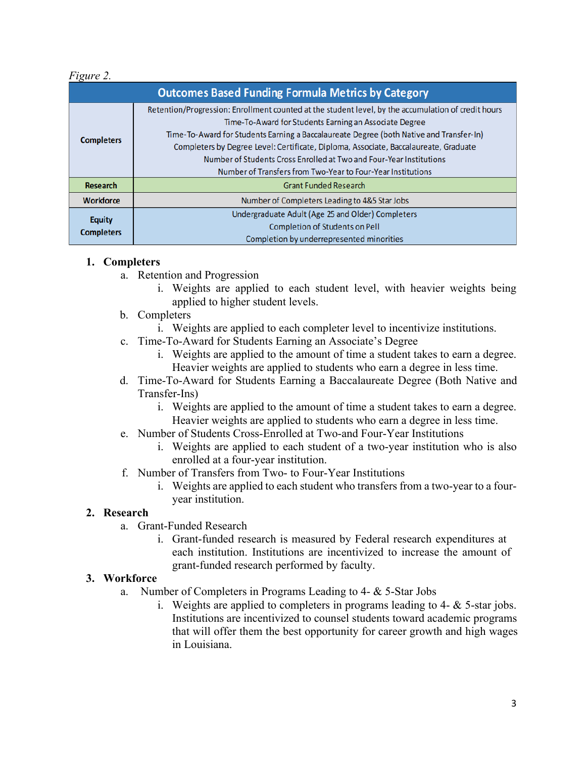# *Figure 2.*

| <b>Outcomes Based Funding Formula Metrics by Category</b> |                                                                                                                                                   |  |
|-----------------------------------------------------------|---------------------------------------------------------------------------------------------------------------------------------------------------|--|
| <b>Completers</b>                                         | Retention/Progression: Enrollment counted at the student level, by the accumulation of credit hours                                               |  |
|                                                           | Time-To-Award for Students Earning an Associate Degree<br>Time-To-Award for Students Earning a Baccalaureate Degree (both Native and Transfer-In) |  |
|                                                           | Completers by Degree Level: Certificate, Diploma, Associate, Baccalaureate, Graduate                                                              |  |
|                                                           | Number of Students Cross Enrolled at Two and Four-Year Institutions                                                                               |  |
|                                                           | Number of Transfers from Two-Year to Four-Year Institutions                                                                                       |  |
| <b>Research</b>                                           | <b>Grant Funded Research</b>                                                                                                                      |  |
| <b>Workforce</b>                                          | Number of Completers Leading to 4&5 Star Jobs                                                                                                     |  |
| <b>Equity</b><br><b>Completers</b>                        | Undergraduate Adult (Age 25 and Older) Completers                                                                                                 |  |
|                                                           | <b>Completion of Students on Pell</b>                                                                                                             |  |
|                                                           | Completion by underrepresented minorities                                                                                                         |  |

#### **1. Completers**

- a. Retention and Progression
	- i. Weights are applied to each student level, with heavier weights being applied to higher student levels.
- b. Completers
	- i. Weights are applied to each completer level to incentivize institutions.
- c. Time-To-Award for Students Earning an Associate's Degree
	- i. Weights are applied to the amount of time a student takes to earn a degree. Heavier weights are applied to students who earn a degree in less time.
- d. Time-To-Award for Students Earning a Baccalaureate Degree (Both Native and Transfer-Ins)
	- i. Weights are applied to the amount of time a student takes to earn a degree. Heavier weights are applied to students who earn a degree in less time.
- e. Number of Students Cross-Enrolled at Two-and Four-Year Institutions
	- i. Weights are applied to each student of a two-year institution who is also enrolled at a four-year institution.
- f. Number of Transfers from Two- to Four-Year Institutions
	- i. Weights are applied to each student who transfers from a two-year to a fouryear institution.

## **2. Research**

- a. Grant-Funded Research
	- i. Grant-funded research is measured by Federal research expenditures at each institution. Institutions are incentivized to increase the amount of grant-funded research performed by faculty.

## **3. Workforce**

- a. Number of Completers in Programs Leading to 4- & 5-Star Jobs
	- i. Weights are applied to completers in programs leading to  $4 \&$  5-star jobs. Institutions are incentivized to counsel students toward academic programs that will offer them the best opportunity for career growth and high wages in Louisiana.